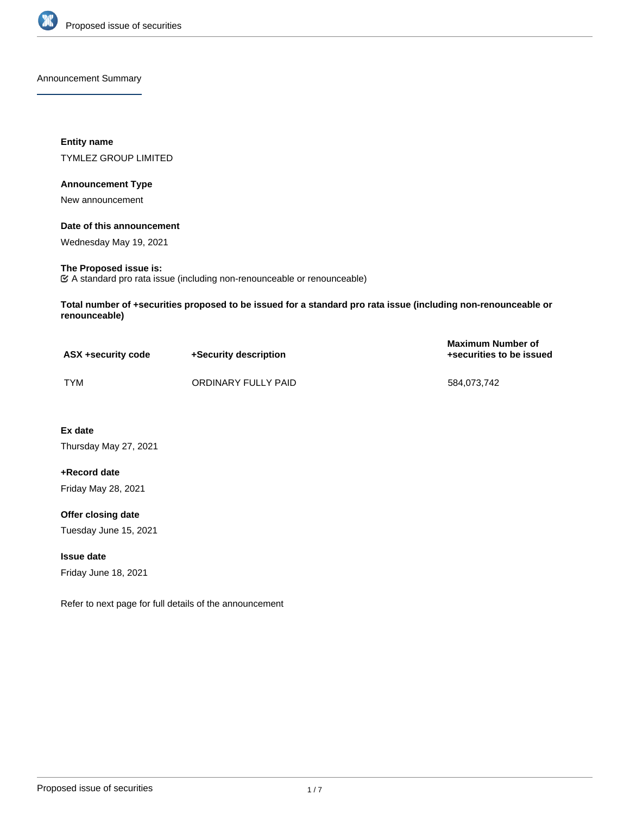

Announcement Summary

**Entity name** TYMLEZ GROUP LIMITED

### **Announcement Type**

New announcement

### **Date of this announcement**

Wednesday May 19, 2021

# **The Proposed issue is:**

A standard pro rata issue (including non-renounceable or renounceable)

**Total number of +securities proposed to be issued for a standard pro rata issue (including non-renounceable or renounceable)**

| ASX +security code | +Security description | <b>Maximum Number of</b><br>+securities to be issued |
|--------------------|-----------------------|------------------------------------------------------|
| TYM                | ORDINARY FULLY PAID   | 584.073.742                                          |

**Ex date** Thursday May 27, 2021

**+Record date** Friday May 28, 2021

**Offer closing date** Tuesday June 15, 2021

**Issue date** Friday June 18, 2021

Refer to next page for full details of the announcement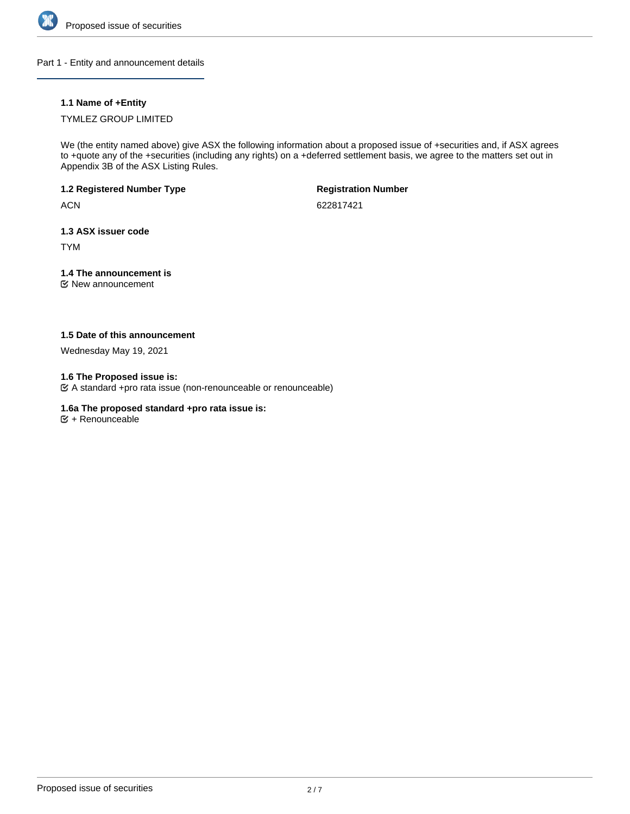

Part 1 - Entity and announcement details

### **1.1 Name of +Entity**

### TYMLEZ GROUP LIMITED

We (the entity named above) give ASX the following information about a proposed issue of +securities and, if ASX agrees to +quote any of the +securities (including any rights) on a +deferred settlement basis, we agree to the matters set out in Appendix 3B of the ASX Listing Rules.

# **1.2 Registered Number Type**

**ACN** 

**Registration Number**

622817421

### **1.3 ASX issuer code**

TYM

# **1.4 The announcement is**

New announcement

### **1.5 Date of this announcement**

Wednesday May 19, 2021

### **1.6 The Proposed issue is:**

A standard +pro rata issue (non-renounceable or renounceable)

### **1.6a The proposed standard +pro rata issue is:**

 $\mathfrak{S}$  + Renounceable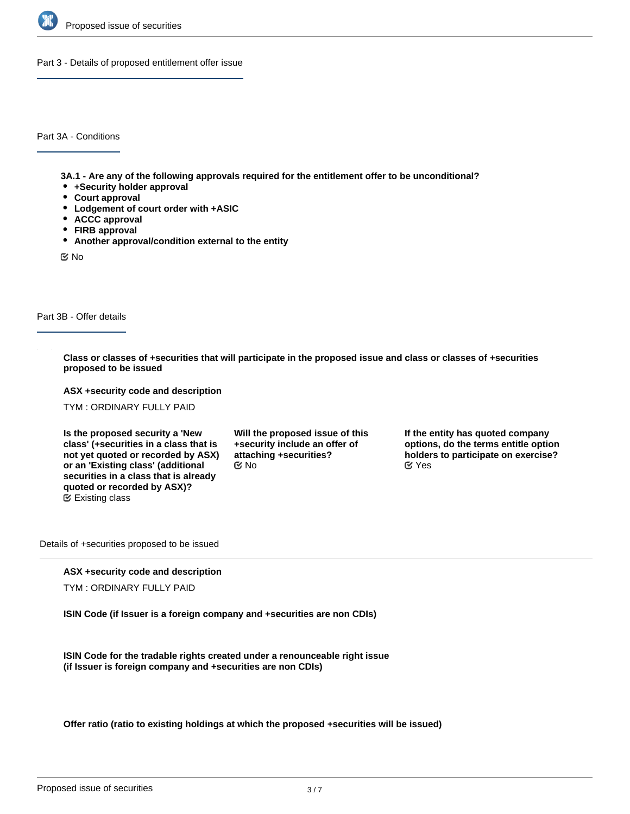

Part 3 - Details of proposed entitlement offer issue

Part 3A - Conditions

**3A.1 - Are any of the following approvals required for the entitlement offer to be unconditional?**

- **+Security holder approval**
- **Court approval**
- **Lodgement of court order with +ASIC**
- **ACCC approval**
- **FIRB approval**
- **Another approval/condition external to the entity**

No

### Part 3B - Offer details

**Class or classes of +securities that will participate in the proposed issue and class or classes of +securities proposed to be issued**

**ASX +security code and description**

TYM : ORDINARY FULLY PAID

**Is the proposed security a 'New class' (+securities in a class that is not yet quoted or recorded by ASX) or an 'Existing class' (additional securities in a class that is already quoted or recorded by ASX)?** Existing class

**Will the proposed issue of this +security include an offer of attaching +securities?**

**If the entity has quoted company options, do the terms entitle option holders to participate on exercise?** No Yes

Details of +securities proposed to be issued

#### **ASX +security code and description**

TYM : ORDINARY FULLY PAID

**ISIN Code (if Issuer is a foreign company and +securities are non CDIs)**

**ISIN Code for the tradable rights created under a renounceable right issue (if Issuer is foreign company and +securities are non CDIs)**

**Offer ratio (ratio to existing holdings at which the proposed +securities will be issued)**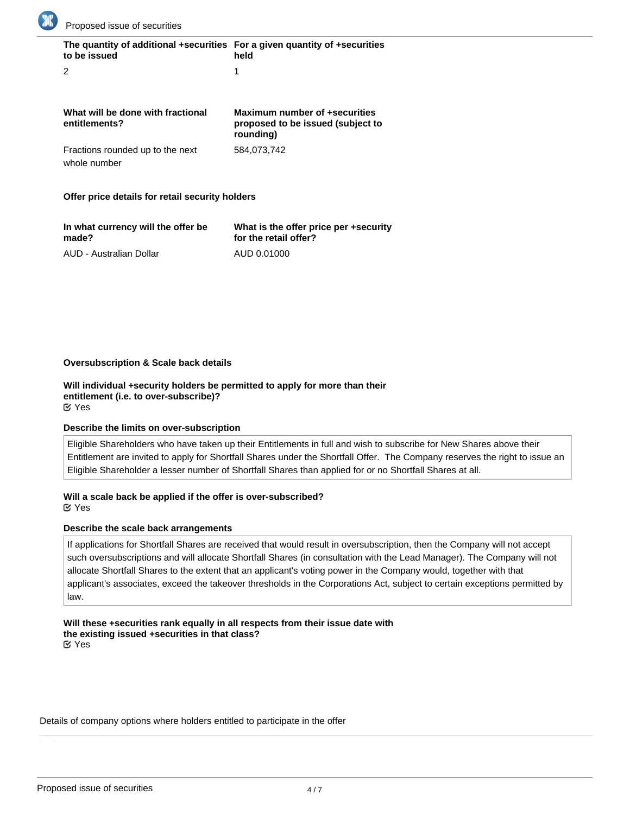

| The quantity of additional +securities For a given quantity of +securities<br>to be issued | held |
|--------------------------------------------------------------------------------------------|------|
|                                                                                            |      |

| What will be done with fractional<br>entitlements? | Maximum number of +securities<br>proposed to be issued (subject to<br>rounding) |
|----------------------------------------------------|---------------------------------------------------------------------------------|
| Fractions rounded up to the next                   | 584.073.742                                                                     |
| whole number                                       |                                                                                 |

### **Offer price details for retail security holders**

| In what currency will the offer be | What is the offer price per +security |
|------------------------------------|---------------------------------------|
| made?                              | for the retail offer?                 |
| AUD - Australian Dollar            | AUD 0.01000                           |

### **Oversubscription & Scale back details**

**Will individual +security holders be permitted to apply for more than their entitlement (i.e. to over-subscribe)?** Yes

### **Describe the limits on over-subscription**

Eligible Shareholders who have taken up their Entitlements in full and wish to subscribe for New Shares above their Entitlement are invited to apply for Shortfall Shares under the Shortfall Offer. The Company reserves the right to issue an Eligible Shareholder a lesser number of Shortfall Shares than applied for or no Shortfall Shares at all.

# **Will a scale back be applied if the offer is over-subscribed?**

Yes

### **Describe the scale back arrangements**

If applications for Shortfall Shares are received that would result in oversubscription, then the Company will not accept such oversubscriptions and will allocate Shortfall Shares (in consultation with the Lead Manager). The Company will not allocate Shortfall Shares to the extent that an applicant's voting power in the Company would, together with that applicant's associates, exceed the takeover thresholds in the Corporations Act, subject to certain exceptions permitted by law.

**Will these +securities rank equally in all respects from their issue date with the existing issued +securities in that class?** Yes

#### Details of company options where holders entitled to participate in the offer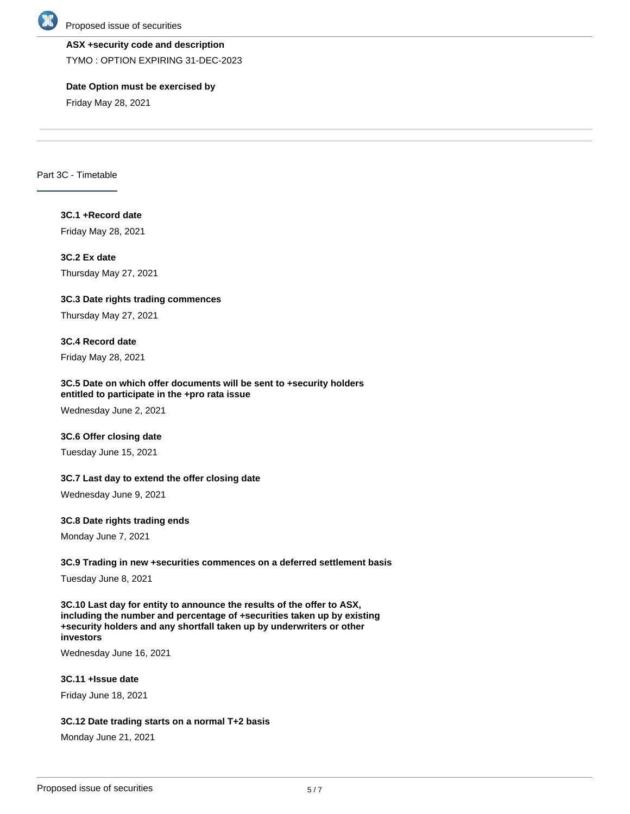

### **ASX +security code and description**

TYMO : OPTION EXPIRING 31-DEC-2023

### **Date Option must be exercised by**

Friday May 28, 2021

Part 3C - Timetable

# **3C.1 +Record date**

Friday May 28, 2021

# **3C.2 Ex date**

Thursday May 27, 2021

# **3C.3 Date rights trading commences**

Thursday May 27, 2021

# **3C.4 Record date**

Friday May 28, 2021

### **3C.5 Date on which offer documents will be sent to +security holders entitled to participate in the +pro rata issue**

Wednesday June 2, 2021

# **3C.6 Offer closing date**

Tuesday June 15, 2021

# **3C.7 Last day to extend the offer closing date**

Wednesday June 9, 2021

# **3C.8 Date rights trading ends**

Monday June 7, 2021

# **3C.9 Trading in new +securities commences on a deferred settlement basis**

Tuesday June 8, 2021

**3C.10 Last day for entity to announce the results of the offer to ASX, including the number and percentage of +securities taken up by existing +security holders and any shortfall taken up by underwriters or other investors**

Wednesday June 16, 2021

# **3C.11 +Issue date**

Friday June 18, 2021

### **3C.12 Date trading starts on a normal T+2 basis**

Monday June 21, 2021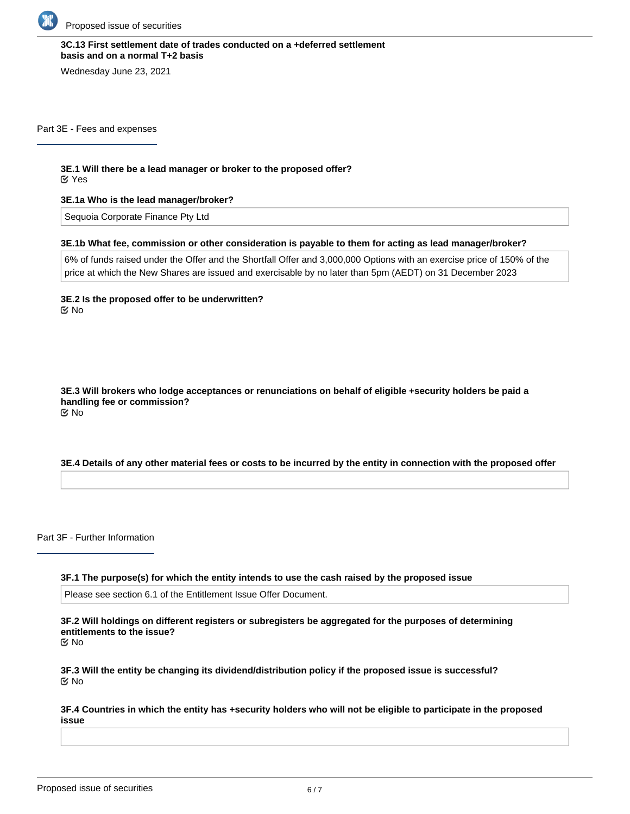

### **3C.13 First settlement date of trades conducted on a +deferred settlement basis and on a normal T+2 basis**

Wednesday June 23, 2021

Part 3E - Fees and expenses

**3E.1 Will there be a lead manager or broker to the proposed offer?**

Yes

**3E.1a Who is the lead manager/broker?**

Sequoia Corporate Finance Pty Ltd

### **3E.1b What fee, commission or other consideration is payable to them for acting as lead manager/broker?**

6% of funds raised under the Offer and the Shortfall Offer and 3,000,000 Options with an exercise price of 150% of the price at which the New Shares are issued and exercisable by no later than 5pm (AEDT) on 31 December 2023

**3E.2 Is the proposed offer to be underwritten?** No

**3E.3 Will brokers who lodge acceptances or renunciations on behalf of eligible +security holders be paid a handling fee or commission?** No

### **3E.4 Details of any other material fees or costs to be incurred by the entity in connection with the proposed offer**

Part 3F - Further Information

**3F.1 The purpose(s) for which the entity intends to use the cash raised by the proposed issue**

Please see section 6.1 of the Entitlement Issue Offer Document.

**3F.2 Will holdings on different registers or subregisters be aggregated for the purposes of determining entitlements to the issue?**

No

**3F.3 Will the entity be changing its dividend/distribution policy if the proposed issue is successful?** No

**3F.4 Countries in which the entity has +security holders who will not be eligible to participate in the proposed issue**